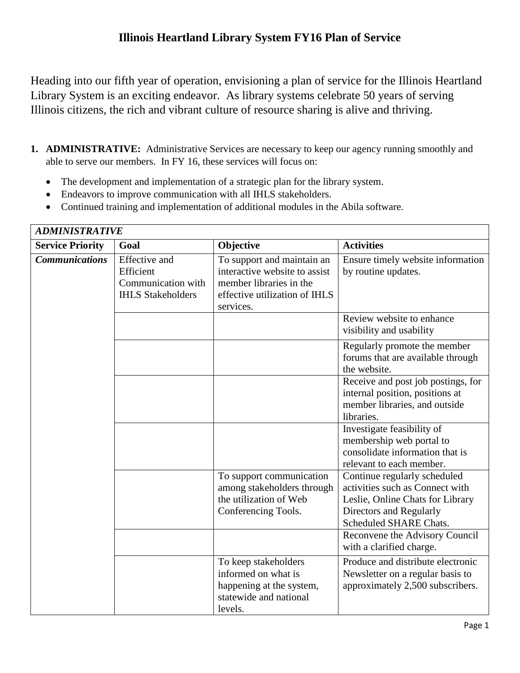Heading into our fifth year of operation, envisioning a plan of service for the Illinois Heartland Library System is an exciting endeavor. As library systems celebrate 50 years of serving Illinois citizens, the rich and vibrant culture of resource sharing is alive and thriving.

- **1. ADMINISTRATIVE:** Administrative Services are necessary to keep our agency running smoothly and able to serve our members. In FY 16, these services will focus on:
	- The development and implementation of a strategic plan for the library system.
	- Endeavors to improve communication with all IHLS stakeholders.
	- Continued training and implementation of additional modules in the Abila software.

| <b>ADMINISTRATIVE</b>   |                                                                                     |                                                                                                                                      |                                                                                                                                                          |
|-------------------------|-------------------------------------------------------------------------------------|--------------------------------------------------------------------------------------------------------------------------------------|----------------------------------------------------------------------------------------------------------------------------------------------------------|
| <b>Service Priority</b> | Goal                                                                                | Objective                                                                                                                            | <b>Activities</b>                                                                                                                                        |
| <b>Communications</b>   | <b>Effective</b> and<br>Efficient<br>Communication with<br><b>IHLS Stakeholders</b> | To support and maintain an<br>interactive website to assist<br>member libraries in the<br>effective utilization of IHLS<br>services. | Ensure timely website information<br>by routine updates.                                                                                                 |
|                         |                                                                                     |                                                                                                                                      | Review website to enhance<br>visibility and usability                                                                                                    |
|                         |                                                                                     |                                                                                                                                      | Regularly promote the member<br>forums that are available through<br>the website.                                                                        |
|                         |                                                                                     |                                                                                                                                      | Receive and post job postings, for<br>internal position, positions at<br>member libraries, and outside<br>libraries.                                     |
|                         |                                                                                     |                                                                                                                                      | Investigate feasibility of<br>membership web portal to<br>consolidate information that is<br>relevant to each member.                                    |
|                         |                                                                                     | To support communication<br>among stakeholders through<br>the utilization of Web<br>Conferencing Tools.                              | Continue regularly scheduled<br>activities such as Connect with<br>Leslie, Online Chats for Library<br>Directors and Regularly<br>Scheduled SHARE Chats. |
|                         |                                                                                     |                                                                                                                                      | Reconvene the Advisory Council<br>with a clarified charge.                                                                                               |
|                         |                                                                                     | To keep stakeholders<br>informed on what is<br>happening at the system,<br>statewide and national<br>levels.                         | Produce and distribute electronic<br>Newsletter on a regular basis to<br>approximately 2,500 subscribers.                                                |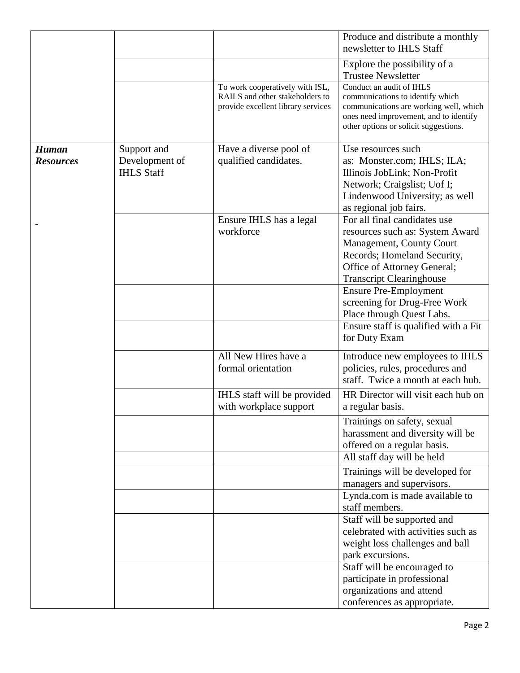|                  |                   |                                                                                                          | Produce and distribute a monthly<br>newsletter to IHLS Staff                                                                                                                              |
|------------------|-------------------|----------------------------------------------------------------------------------------------------------|-------------------------------------------------------------------------------------------------------------------------------------------------------------------------------------------|
|                  |                   |                                                                                                          | Explore the possibility of a                                                                                                                                                              |
|                  |                   |                                                                                                          | <b>Trustee Newsletter</b>                                                                                                                                                                 |
|                  |                   | To work cooperatively with ISL,<br>RAILS and other stakeholders to<br>provide excellent library services | Conduct an audit of IHLS<br>communications to identify which<br>communications are working well, which<br>ones need improvement, and to identify<br>other options or solicit suggestions. |
| <b>Human</b>     | Support and       | Have a diverse pool of                                                                                   | Use resources such                                                                                                                                                                        |
| <b>Resources</b> | Development of    | qualified candidates.                                                                                    | as: Monster.com; IHLS; ILA;                                                                                                                                                               |
|                  | <b>IHLS Staff</b> |                                                                                                          | Illinois JobLink; Non-Profit                                                                                                                                                              |
|                  |                   |                                                                                                          | Network; Craigslist; Uof I;                                                                                                                                                               |
|                  |                   |                                                                                                          | Lindenwood University; as well                                                                                                                                                            |
|                  |                   |                                                                                                          | as regional job fairs.                                                                                                                                                                    |
|                  |                   | Ensure IHLS has a legal                                                                                  | For all final candidates use                                                                                                                                                              |
|                  |                   | workforce                                                                                                | resources such as: System Award                                                                                                                                                           |
|                  |                   |                                                                                                          | Management, County Court                                                                                                                                                                  |
|                  |                   |                                                                                                          | Records; Homeland Security,                                                                                                                                                               |
|                  |                   |                                                                                                          | Office of Attorney General;                                                                                                                                                               |
|                  |                   |                                                                                                          | <b>Transcript Clearinghouse</b>                                                                                                                                                           |
|                  |                   |                                                                                                          | <b>Ensure Pre-Employment</b>                                                                                                                                                              |
|                  |                   |                                                                                                          | screening for Drug-Free Work<br>Place through Quest Labs.                                                                                                                                 |
|                  |                   |                                                                                                          | Ensure staff is qualified with a Fit                                                                                                                                                      |
|                  |                   |                                                                                                          | for Duty Exam                                                                                                                                                                             |
|                  |                   | All New Hires have a                                                                                     | Introduce new employees to IHLS                                                                                                                                                           |
|                  |                   | formal orientation                                                                                       | policies, rules, procedures and                                                                                                                                                           |
|                  |                   |                                                                                                          | staff. Twice a month at each hub.                                                                                                                                                         |
|                  |                   | IHLS staff will be provided                                                                              | HR Director will visit each hub on                                                                                                                                                        |
|                  |                   | with workplace support                                                                                   | a regular basis.                                                                                                                                                                          |
|                  |                   |                                                                                                          | Trainings on safety, sexual                                                                                                                                                               |
|                  |                   |                                                                                                          | harassment and diversity will be                                                                                                                                                          |
|                  |                   |                                                                                                          | offered on a regular basis.                                                                                                                                                               |
|                  |                   |                                                                                                          | All staff day will be held                                                                                                                                                                |
|                  |                   |                                                                                                          | Trainings will be developed for                                                                                                                                                           |
|                  |                   |                                                                                                          | managers and supervisors.                                                                                                                                                                 |
|                  |                   |                                                                                                          | Lynda.com is made available to<br>staff members.                                                                                                                                          |
|                  |                   |                                                                                                          | Staff will be supported and                                                                                                                                                               |
|                  |                   |                                                                                                          | celebrated with activities such as                                                                                                                                                        |
|                  |                   |                                                                                                          | weight loss challenges and ball                                                                                                                                                           |
|                  |                   |                                                                                                          | park excursions.                                                                                                                                                                          |
|                  |                   |                                                                                                          | Staff will be encouraged to                                                                                                                                                               |
|                  |                   |                                                                                                          | participate in professional                                                                                                                                                               |
|                  |                   |                                                                                                          | organizations and attend                                                                                                                                                                  |
|                  |                   |                                                                                                          | conferences as appropriate.                                                                                                                                                               |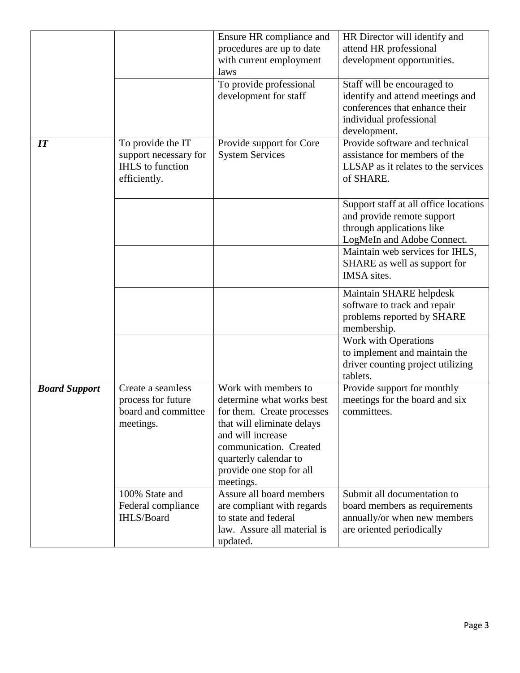|                      |                                                                                       | Ensure HR compliance and<br>procedures are up to date<br>with current employment<br>laws                                                                                                                                       | HR Director will identify and<br>attend HR professional<br>development opportunities.                                                                             |
|----------------------|---------------------------------------------------------------------------------------|--------------------------------------------------------------------------------------------------------------------------------------------------------------------------------------------------------------------------------|-------------------------------------------------------------------------------------------------------------------------------------------------------------------|
|                      |                                                                                       | To provide professional<br>development for staff                                                                                                                                                                               | Staff will be encouraged to<br>identify and attend meetings and<br>conferences that enhance their<br>individual professional<br>development.                      |
| IT                   | To provide the IT<br>support necessary for<br><b>IHLS</b> to function<br>efficiently. | Provide support for Core<br><b>System Services</b>                                                                                                                                                                             | Provide software and technical<br>assistance for members of the<br>LLSAP as it relates to the services<br>of SHARE.                                               |
|                      |                                                                                       |                                                                                                                                                                                                                                | Support staff at all office locations<br>and provide remote support<br>through applications like<br>LogMeIn and Adobe Connect.<br>Maintain web services for IHLS, |
|                      |                                                                                       |                                                                                                                                                                                                                                | SHARE as well as support for<br>IMSA sites.                                                                                                                       |
|                      |                                                                                       |                                                                                                                                                                                                                                | Maintain SHARE helpdesk<br>software to track and repair<br>problems reported by SHARE<br>membership.                                                              |
|                      |                                                                                       |                                                                                                                                                                                                                                | Work with Operations<br>to implement and maintain the<br>driver counting project utilizing<br>tablets.                                                            |
| <b>Board Support</b> | Create a seamless<br>process for future<br>board and committee<br>meetings.           | Work with members to<br>determine what works best<br>for them. Create processes<br>that will eliminate delays<br>and will increase<br>communication. Created<br>quarterly calendar to<br>provide one stop for all<br>meetings. | Provide support for monthly<br>meetings for the board and six<br>committees.                                                                                      |
|                      | 100% State and<br>Federal compliance<br>IHLS/Board                                    | Assure all board members<br>are compliant with regards<br>to state and federal<br>law. Assure all material is<br>updated.                                                                                                      | Submit all documentation to<br>board members as requirements<br>annually/or when new members<br>are oriented periodically                                         |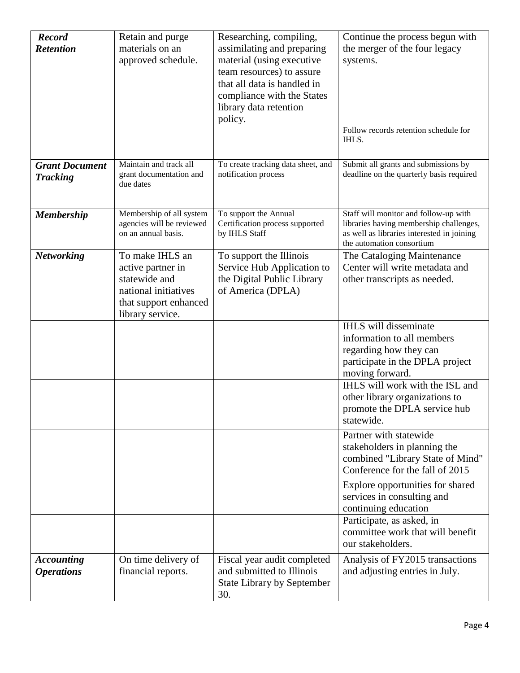| <b>Record</b><br><b>Retention</b>        | Retain and purge<br>materials on an<br>approved schedule.                                                                  | Researching, compiling,<br>assimilating and preparing<br>material (using executive<br>team resources) to assure<br>that all data is handled in | Continue the process begun with<br>the merger of the four legacy<br>systems.                                                                                |
|------------------------------------------|----------------------------------------------------------------------------------------------------------------------------|------------------------------------------------------------------------------------------------------------------------------------------------|-------------------------------------------------------------------------------------------------------------------------------------------------------------|
|                                          |                                                                                                                            | compliance with the States<br>library data retention<br>policy.                                                                                |                                                                                                                                                             |
|                                          |                                                                                                                            |                                                                                                                                                | Follow records retention schedule for<br>IHLS.                                                                                                              |
| <b>Grant Document</b><br><b>Tracking</b> | Maintain and track all<br>grant documentation and<br>due dates                                                             | To create tracking data sheet, and<br>notification process                                                                                     | Submit all grants and submissions by<br>deadline on the quarterly basis required                                                                            |
| <b>Membership</b>                        | Membership of all system<br>agencies will be reviewed<br>on an annual basis.                                               | To support the Annual<br>Certification process supported<br>by IHLS Staff                                                                      | Staff will monitor and follow-up with<br>libraries having membership challenges,<br>as well as libraries interested in joining<br>the automation consortium |
| <b>Networking</b>                        | To make IHLS an<br>active partner in<br>statewide and<br>national initiatives<br>that support enhanced<br>library service. | To support the Illinois<br>Service Hub Application to<br>the Digital Public Library<br>of America (DPLA)                                       | The Cataloging Maintenance<br>Center will write metadata and<br>other transcripts as needed.                                                                |
|                                          |                                                                                                                            |                                                                                                                                                | <b>IHLS</b> will disseminate<br>information to all members<br>regarding how they can<br>participate in the DPLA project<br>moving forward.                  |
|                                          |                                                                                                                            |                                                                                                                                                | IHLS will work with the ISL and<br>other library organizations to<br>promote the DPLA service hub<br>statewide.                                             |
|                                          |                                                                                                                            |                                                                                                                                                | Partner with statewide<br>stakeholders in planning the<br>combined "Library State of Mind"<br>Conference for the fall of 2015                               |
|                                          |                                                                                                                            |                                                                                                                                                | Explore opportunities for shared<br>services in consulting and<br>continuing education                                                                      |
|                                          |                                                                                                                            |                                                                                                                                                | Participate, as asked, in<br>committee work that will benefit<br>our stakeholders.                                                                          |
| <b>Accounting</b><br><b>Operations</b>   | On time delivery of<br>financial reports.                                                                                  | Fiscal year audit completed<br>and submitted to Illinois<br><b>State Library by September</b><br>30.                                           | Analysis of FY2015 transactions<br>and adjusting entries in July.                                                                                           |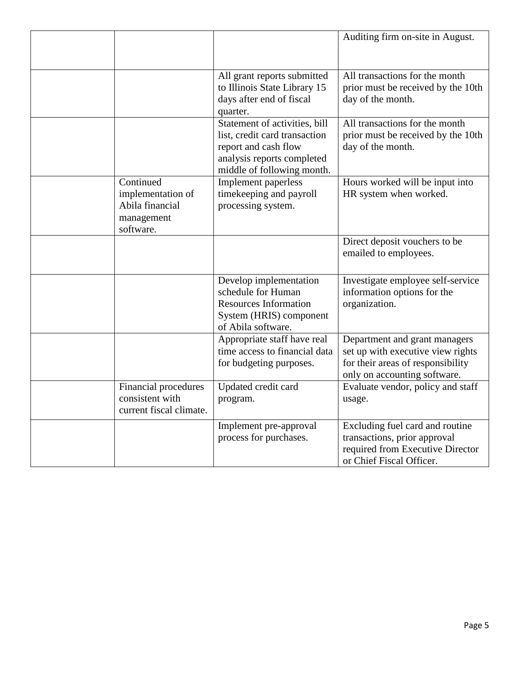|                                                                              |                                                                                                                                                    | Auditing firm on-site in August.                                                                                                        |
|------------------------------------------------------------------------------|----------------------------------------------------------------------------------------------------------------------------------------------------|-----------------------------------------------------------------------------------------------------------------------------------------|
|                                                                              | All grant reports submitted<br>to Illinois State Library 15<br>days after end of fiscal<br>quarter.                                                | All transactions for the month<br>prior must be received by the 10th<br>day of the month.                                               |
|                                                                              | Statement of activities, bill<br>list, credit card transaction<br>report and cash flow<br>analysis reports completed<br>middle of following month. | All transactions for the month<br>prior must be received by the 10th<br>day of the month.                                               |
| Continued<br>implementation of<br>Abila financial<br>management<br>software. | <b>Implement</b> paperless<br>timekeeping and payroll<br>processing system.                                                                        | Hours worked will be input into<br>HR system when worked.                                                                               |
|                                                                              |                                                                                                                                                    | Direct deposit vouchers to be<br>emailed to employees.                                                                                  |
|                                                                              | Develop implementation<br>schedule for Human<br><b>Resources Information</b><br>System (HRIS) component<br>of Abila software.                      | Investigate employee self-service<br>information options for the<br>organization.                                                       |
|                                                                              | Appropriate staff have real<br>time access to financial data<br>for budgeting purposes.                                                            | Department and grant managers<br>set up with executive view rights<br>for their areas of responsibility<br>only on accounting software. |
| Financial procedures<br>consistent with<br>current fiscal climate.           | Updated credit card<br>program.                                                                                                                    | Evaluate vendor, policy and staff<br>usage.                                                                                             |
|                                                                              | Implement pre-approval<br>process for purchases.                                                                                                   | Excluding fuel card and routine<br>transactions, prior approval<br>required from Executive Director<br>or Chief Fiscal Officer.         |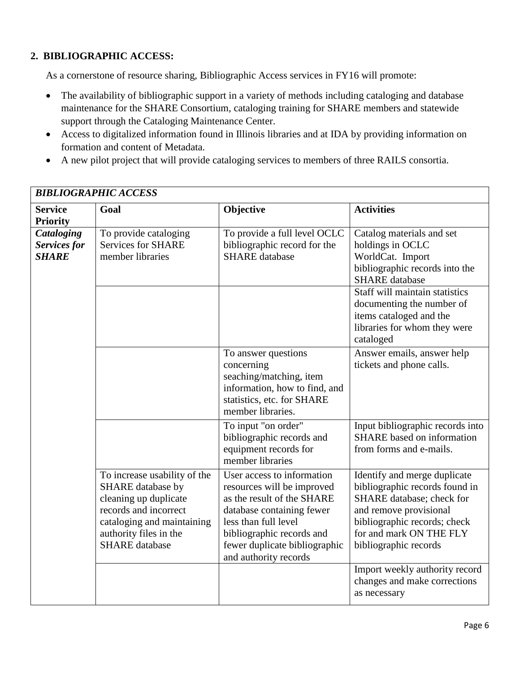## **2. BIBLIOGRAPHIC ACCESS:**

As a cornerstone of resource sharing, Bibliographic Access services in FY16 will promote:

- The availability of bibliographic support in a variety of methods including cataloging and database maintenance for the SHARE Consortium, cataloging training for SHARE members and statewide support through the Cataloging Maintenance Center.
- Access to digitalized information found in Illinois libraries and at IDA by providing information on formation and content of Metadata.
- A new pilot project that will provide cataloging services to members of three RAILS consortia.

| <b>BIBLIOGRAPHIC ACCESS</b>                |                                                                                                                                                                                      |                                                                                                                                                                                                                                    |                                                                                                                                                                                                           |
|--------------------------------------------|--------------------------------------------------------------------------------------------------------------------------------------------------------------------------------------|------------------------------------------------------------------------------------------------------------------------------------------------------------------------------------------------------------------------------------|-----------------------------------------------------------------------------------------------------------------------------------------------------------------------------------------------------------|
| <b>Service</b><br><b>Priority</b>          | Goal                                                                                                                                                                                 | Objective                                                                                                                                                                                                                          | <b>Activities</b>                                                                                                                                                                                         |
| Cataloging<br>Services for<br><b>SHARE</b> | To provide cataloging<br><b>Services for SHARE</b><br>member libraries                                                                                                               | To provide a full level OCLC<br>bibliographic record for the<br><b>SHARE</b> database                                                                                                                                              | Catalog materials and set<br>holdings in OCLC<br>WorldCat. Import<br>bibliographic records into the<br><b>SHARE</b> database                                                                              |
|                                            |                                                                                                                                                                                      |                                                                                                                                                                                                                                    | Staff will maintain statistics<br>documenting the number of<br>items cataloged and the<br>libraries for whom they were<br>cataloged                                                                       |
|                                            |                                                                                                                                                                                      | To answer questions<br>concerning<br>seaching/matching, item<br>information, how to find, and<br>statistics, etc. for SHARE<br>member libraries.                                                                                   | Answer emails, answer help<br>tickets and phone calls.                                                                                                                                                    |
|                                            |                                                                                                                                                                                      | To input "on order"<br>bibliographic records and<br>equipment records for<br>member libraries                                                                                                                                      | Input bibliographic records into<br><b>SHARE</b> based on information<br>from forms and e-mails.                                                                                                          |
|                                            | To increase usability of the<br>SHARE database by<br>cleaning up duplicate<br>records and incorrect<br>cataloging and maintaining<br>authority files in the<br><b>SHARE</b> database | User access to information<br>resources will be improved<br>as the result of the SHARE<br>database containing fewer<br>less than full level<br>bibliographic records and<br>fewer duplicate bibliographic<br>and authority records | Identify and merge duplicate<br>bibliographic records found in<br>SHARE database; check for<br>and remove provisional<br>bibliographic records; check<br>for and mark ON THE FLY<br>bibliographic records |
|                                            |                                                                                                                                                                                      |                                                                                                                                                                                                                                    | Import weekly authority record<br>changes and make corrections<br>as necessary                                                                                                                            |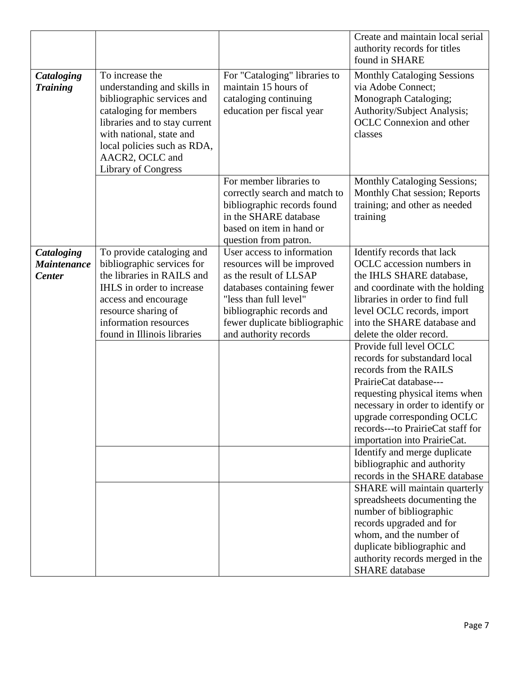|                                                   |                                                                                                                                                                                                                                                     |                                                                                                                                                                                                                                   | Create and maintain local serial<br>authority records for titles<br>found in SHARE                                                                                                                                                                                                     |
|---------------------------------------------------|-----------------------------------------------------------------------------------------------------------------------------------------------------------------------------------------------------------------------------------------------------|-----------------------------------------------------------------------------------------------------------------------------------------------------------------------------------------------------------------------------------|----------------------------------------------------------------------------------------------------------------------------------------------------------------------------------------------------------------------------------------------------------------------------------------|
| <b>Cataloging</b><br><b>Training</b>              | To increase the<br>understanding and skills in<br>bibliographic services and<br>cataloging for members<br>libraries and to stay current<br>with national, state and<br>local policies such as RDA,<br>AACR2, OCLC and<br><b>Library of Congress</b> | For "Cataloging" libraries to<br>maintain 15 hours of<br>cataloging continuing<br>education per fiscal year                                                                                                                       | <b>Monthly Cataloging Sessions</b><br>via Adobe Connect;<br>Monograph Cataloging;<br>Authority/Subject Analysis;<br><b>OCLC</b> Connexion and other<br>classes                                                                                                                         |
|                                                   |                                                                                                                                                                                                                                                     | For member libraries to<br>correctly search and match to<br>bibliographic records found<br>in the SHARE database<br>based on item in hand or<br>question from patron.                                                             | <b>Monthly Cataloging Sessions;</b><br>Monthly Chat session; Reports<br>training; and other as needed<br>training                                                                                                                                                                      |
| Cataloging<br><b>Maintenance</b><br><b>Center</b> | To provide cataloging and<br>bibliographic services for<br>the libraries in RAILS and<br>IHLS in order to increase<br>access and encourage<br>resource sharing of<br>information resources<br>found in Illinois libraries                           | User access to information<br>resources will be improved<br>as the result of LLSAP<br>databases containing fewer<br>"less than full level"<br>bibliographic records and<br>fewer duplicate bibliographic<br>and authority records | Identify records that lack<br>OCLC accession numbers in<br>the IHLS SHARE database,<br>and coordinate with the holding<br>libraries in order to find full<br>level OCLC records, import<br>into the SHARE database and<br>delete the older record.                                     |
|                                                   |                                                                                                                                                                                                                                                     |                                                                                                                                                                                                                                   | Provide full level OCLC<br>records for substandard local<br>records from the RAILS<br>PrairieCat database---<br>requesting physical items when<br>necessary in order to identify or<br>upgrade corresponding OCLC<br>records---to PrairieCat staff for<br>importation into PrairieCat. |
|                                                   |                                                                                                                                                                                                                                                     |                                                                                                                                                                                                                                   | Identify and merge duplicate<br>bibliographic and authority<br>records in the SHARE database                                                                                                                                                                                           |
|                                                   |                                                                                                                                                                                                                                                     |                                                                                                                                                                                                                                   | SHARE will maintain quarterly<br>spreadsheets documenting the<br>number of bibliographic<br>records upgraded and for<br>whom, and the number of<br>duplicate bibliographic and<br>authority records merged in the<br><b>SHARE</b> database                                             |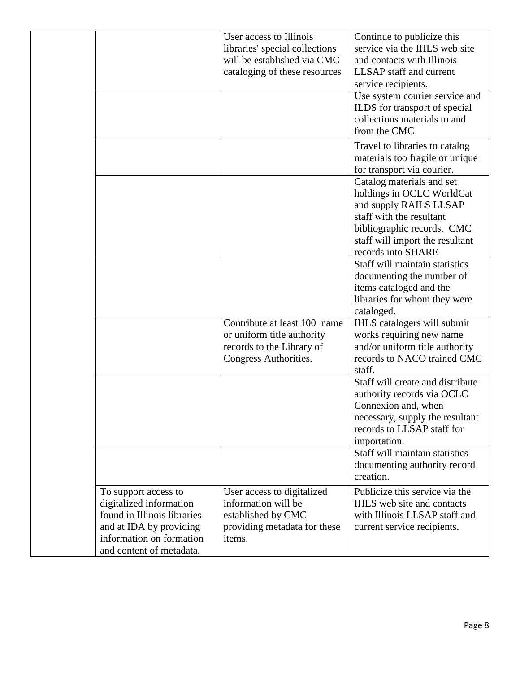|                                                                                                                                                                   | User access to Illinois<br>libraries' special collections<br>will be established via CMC<br>cataloging of these resources | Continue to publicize this<br>service via the IHLS web site<br>and contacts with Illinois<br><b>LLSAP</b> staff and current<br>service recipients.<br>Use system courier service and<br>ILDS for transport of special |
|-------------------------------------------------------------------------------------------------------------------------------------------------------------------|---------------------------------------------------------------------------------------------------------------------------|-----------------------------------------------------------------------------------------------------------------------------------------------------------------------------------------------------------------------|
|                                                                                                                                                                   |                                                                                                                           | collections materials to and<br>from the CMC                                                                                                                                                                          |
|                                                                                                                                                                   |                                                                                                                           | Travel to libraries to catalog<br>materials too fragile or unique<br>for transport via courier.                                                                                                                       |
|                                                                                                                                                                   |                                                                                                                           | Catalog materials and set<br>holdings in OCLC WorldCat<br>and supply RAILS LLSAP<br>staff with the resultant<br>bibliographic records. CMC<br>staff will import the resultant<br>records into SHARE                   |
|                                                                                                                                                                   |                                                                                                                           | Staff will maintain statistics<br>documenting the number of<br>items cataloged and the<br>libraries for whom they were<br>cataloged.                                                                                  |
|                                                                                                                                                                   | Contribute at least 100 name<br>or uniform title authority<br>records to the Library of<br>Congress Authorities.          | IHLS catalogers will submit<br>works requiring new name<br>and/or uniform title authority<br>records to NACO trained CMC<br>staff.                                                                                    |
|                                                                                                                                                                   |                                                                                                                           | Staff will create and distribute<br>authority records via OCLC<br>Connexion and, when<br>necessary, supply the resultant<br>records to LLSAP staff for<br>importation.                                                |
|                                                                                                                                                                   |                                                                                                                           | Staff will maintain statistics<br>documenting authority record<br>creation.                                                                                                                                           |
| To support access to<br>digitalized information<br>found in Illinois libraries<br>and at IDA by providing<br>information on formation<br>and content of metadata. | User access to digitalized<br>information will be<br>established by CMC<br>providing metadata for these<br>items.         | Publicize this service via the<br>IHLS web site and contacts<br>with Illinois LLSAP staff and<br>current service recipients.                                                                                          |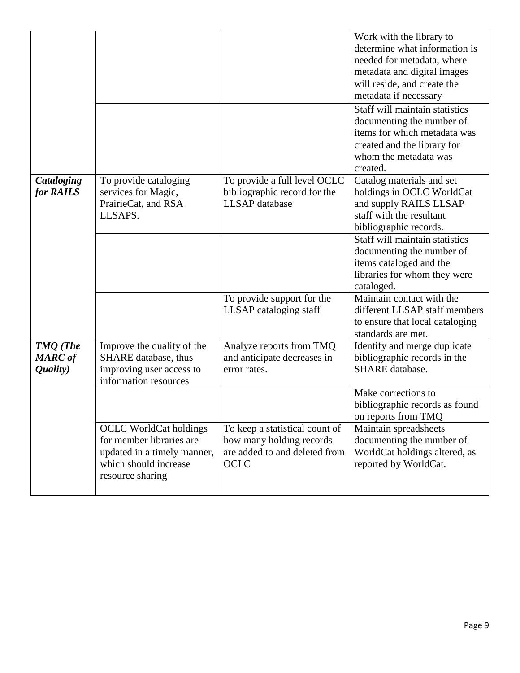|                                               |                                                                                                                                       |                                                                                                     | Work with the library to<br>determine what information is<br>needed for metadata, where<br>metadata and digital images<br>will reside, and create the<br>metadata if necessary<br>Staff will maintain statistics<br>documenting the number of<br>items for which metadata was<br>created and the library for<br>whom the metadata was<br>created. |
|-----------------------------------------------|---------------------------------------------------------------------------------------------------------------------------------------|-----------------------------------------------------------------------------------------------------|---------------------------------------------------------------------------------------------------------------------------------------------------------------------------------------------------------------------------------------------------------------------------------------------------------------------------------------------------|
| Cataloging<br>for RAILS                       | To provide cataloging<br>services for Magic,<br>PrairieCat, and RSA<br>LLSAPS.                                                        | To provide a full level OCLC<br>bibliographic record for the<br><b>LLSAP</b> database               | Catalog materials and set<br>holdings in OCLC WorldCat<br>and supply RAILS LLSAP<br>staff with the resultant<br>bibliographic records.                                                                                                                                                                                                            |
|                                               |                                                                                                                                       |                                                                                                     | Staff will maintain statistics<br>documenting the number of<br>items cataloged and the<br>libraries for whom they were<br>cataloged.                                                                                                                                                                                                              |
|                                               |                                                                                                                                       | To provide support for the<br>LLSAP cataloging staff                                                | Maintain contact with the<br>different LLSAP staff members<br>to ensure that local cataloging<br>standards are met.                                                                                                                                                                                                                               |
| <b>TMQ</b> (The<br><b>MARC</b> of<br>Quality) | Improve the quality of the<br>SHARE database, thus<br>improving user access to<br>information resources                               | Analyze reports from TMQ<br>and anticipate decreases in<br>error rates.                             | Identify and merge duplicate<br>bibliographic records in the<br><b>SHARE</b> database.                                                                                                                                                                                                                                                            |
|                                               |                                                                                                                                       |                                                                                                     | Make corrections to<br>bibliographic records as found<br>on reports from TMQ                                                                                                                                                                                                                                                                      |
|                                               | <b>OCLC</b> WorldCat holdings<br>for member libraries are<br>updated in a timely manner,<br>which should increase<br>resource sharing | To keep a statistical count of<br>how many holding records<br>are added to and deleted from<br>OCLC | Maintain spreadsheets<br>documenting the number of<br>WorldCat holdings altered, as<br>reported by WorldCat.                                                                                                                                                                                                                                      |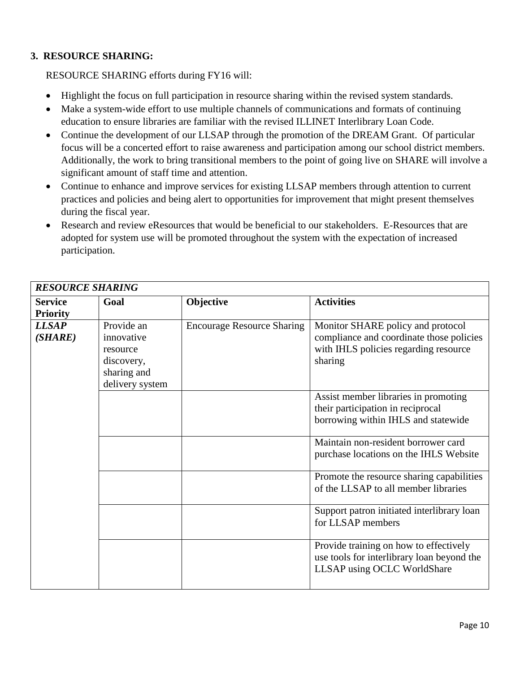### **3. RESOURCE SHARING:**

RESOURCE SHARING efforts during FY16 will:

- Highlight the focus on full participation in resource sharing within the revised system standards.
- Make a system-wide effort to use multiple channels of communications and formats of continuing education to ensure libraries are familiar with the revised ILLINET Interlibrary Loan Code.
- Continue the development of our LLSAP through the promotion of the DREAM Grant. Of particular focus will be a concerted effort to raise awareness and participation among our school district members. Additionally, the work to bring transitional members to the point of going live on SHARE will involve a significant amount of staff time and attention.
- Continue to enhance and improve services for existing LLSAP members through attention to current practices and policies and being alert to opportunities for improvement that might present themselves during the fiscal year.
- Research and review eResources that would be beneficial to our stakeholders. E-Resources that are adopted for system use will be promoted throughout the system with the expectation of increased participation.

| <b>RESOURCE SHARING</b>           |                                                                                      |                                   |                                                                                                                                   |  |
|-----------------------------------|--------------------------------------------------------------------------------------|-----------------------------------|-----------------------------------------------------------------------------------------------------------------------------------|--|
| <b>Service</b><br><b>Priority</b> | Goal                                                                                 | Objective                         | <b>Activities</b>                                                                                                                 |  |
| <b>LLSAP</b><br>(SHARE)           | Provide an<br>innovative<br>resource<br>discovery,<br>sharing and<br>delivery system | <b>Encourage Resource Sharing</b> | Monitor SHARE policy and protocol<br>compliance and coordinate those policies<br>with IHLS policies regarding resource<br>sharing |  |
|                                   |                                                                                      |                                   | Assist member libraries in promoting<br>their participation in reciprocal<br>borrowing within IHLS and statewide                  |  |
|                                   |                                                                                      |                                   | Maintain non-resident borrower card<br>purchase locations on the IHLS Website                                                     |  |
|                                   |                                                                                      |                                   | Promote the resource sharing capabilities<br>of the LLSAP to all member libraries                                                 |  |
|                                   |                                                                                      |                                   | Support patron initiated interlibrary loan<br>for LLSAP members                                                                   |  |
|                                   |                                                                                      |                                   | Provide training on how to effectively<br>use tools for interlibrary loan beyond the<br>LLSAP using OCLC WorldShare               |  |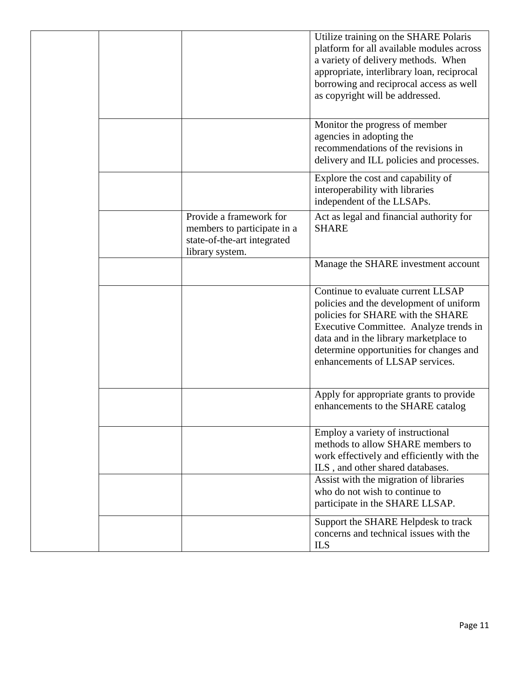|  |                                                                                                          | Utilize training on the SHARE Polaris<br>platform for all available modules across<br>a variety of delivery methods. When<br>appropriate, interlibrary loan, reciprocal<br>borrowing and reciprocal access as well<br>as copyright will be addressed.                                |
|--|----------------------------------------------------------------------------------------------------------|--------------------------------------------------------------------------------------------------------------------------------------------------------------------------------------------------------------------------------------------------------------------------------------|
|  |                                                                                                          | Monitor the progress of member<br>agencies in adopting the<br>recommendations of the revisions in<br>delivery and ILL policies and processes.                                                                                                                                        |
|  |                                                                                                          | Explore the cost and capability of<br>interoperability with libraries<br>independent of the LLSAPs.                                                                                                                                                                                  |
|  | Provide a framework for<br>members to participate in a<br>state-of-the-art integrated<br>library system. | Act as legal and financial authority for<br><b>SHARE</b>                                                                                                                                                                                                                             |
|  |                                                                                                          | Manage the SHARE investment account                                                                                                                                                                                                                                                  |
|  |                                                                                                          | Continue to evaluate current LLSAP<br>policies and the development of uniform<br>policies for SHARE with the SHARE<br>Executive Committee. Analyze trends in<br>data and in the library marketplace to<br>determine opportunities for changes and<br>enhancements of LLSAP services. |
|  |                                                                                                          | Apply for appropriate grants to provide<br>enhancements to the SHARE catalog                                                                                                                                                                                                         |
|  |                                                                                                          | Employ a variety of instructional<br>methods to allow SHARE members to<br>work effectively and efficiently with the<br>ILS, and other shared databases.                                                                                                                              |
|  |                                                                                                          | Assist with the migration of libraries<br>who do not wish to continue to<br>participate in the SHARE LLSAP.                                                                                                                                                                          |
|  |                                                                                                          | Support the SHARE Helpdesk to track<br>concerns and technical issues with the<br><b>ILS</b>                                                                                                                                                                                          |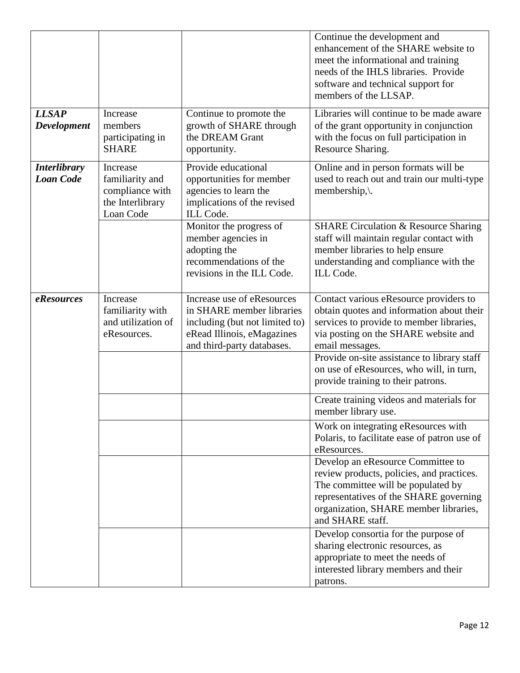|                                         |                                                                                 |                                                                                                                                                       | Continue the development and<br>enhancement of the SHARE website to<br>meet the informational and training<br>needs of the IHLS libraries. Provide<br>software and technical support for<br>members of the LLSAP.           |
|-----------------------------------------|---------------------------------------------------------------------------------|-------------------------------------------------------------------------------------------------------------------------------------------------------|-----------------------------------------------------------------------------------------------------------------------------------------------------------------------------------------------------------------------------|
| <b>LLSAP</b><br><b>Development</b>      | Increase<br>members<br>participating in<br><b>SHARE</b>                         | Continue to promote the<br>growth of SHARE through<br>the DREAM Grant<br>opportunity.                                                                 | Libraries will continue to be made aware<br>of the grant opportunity in conjunction<br>with the focus on full participation in<br>Resource Sharing.                                                                         |
| <b>Interlibrary</b><br><b>Loan Code</b> | Increase<br>familiarity and<br>compliance with<br>the Interlibrary<br>Loan Code | Provide educational<br>opportunities for member<br>agencies to learn the<br>implications of the revised<br>ILL Code.                                  | Online and in person formats will be<br>used to reach out and train our multi-type<br>membership, $\mathcal{L}$ .                                                                                                           |
|                                         |                                                                                 | Monitor the progress of<br>member agencies in<br>adopting the<br>recommendations of the<br>revisions in the ILL Code.                                 | <b>SHARE Circulation &amp; Resource Sharing</b><br>staff will maintain regular contact with<br>member libraries to help ensure<br>understanding and compliance with the<br>ILL Code.                                        |
| eResources                              | Increase<br>familiarity with<br>and utilization of<br>eResources.               | Increase use of eResources<br>in SHARE member libraries<br>including (but not limited to)<br>eRead Illinois, eMagazines<br>and third-party databases. | Contact various eResource providers to<br>obtain quotes and information about their<br>services to provide to member libraries,<br>via posting on the SHARE website and<br>email messages.                                  |
|                                         |                                                                                 |                                                                                                                                                       | Provide on-site assistance to library staff<br>on use of eResources, who will, in turn,<br>provide training to their patrons.                                                                                               |
|                                         |                                                                                 |                                                                                                                                                       | Create training videos and materials for<br>member library use.                                                                                                                                                             |
|                                         |                                                                                 |                                                                                                                                                       | Work on integrating eResources with<br>Polaris, to facilitate ease of patron use of<br>eResources.                                                                                                                          |
|                                         |                                                                                 |                                                                                                                                                       | Develop an eResource Committee to<br>review products, policies, and practices.<br>The committee will be populated by<br>representatives of the SHARE governing<br>organization, SHARE member libraries,<br>and SHARE staff. |
|                                         |                                                                                 |                                                                                                                                                       | Develop consortia for the purpose of<br>sharing electronic resources, as<br>appropriate to meet the needs of<br>interested library members and their<br>patrons.                                                            |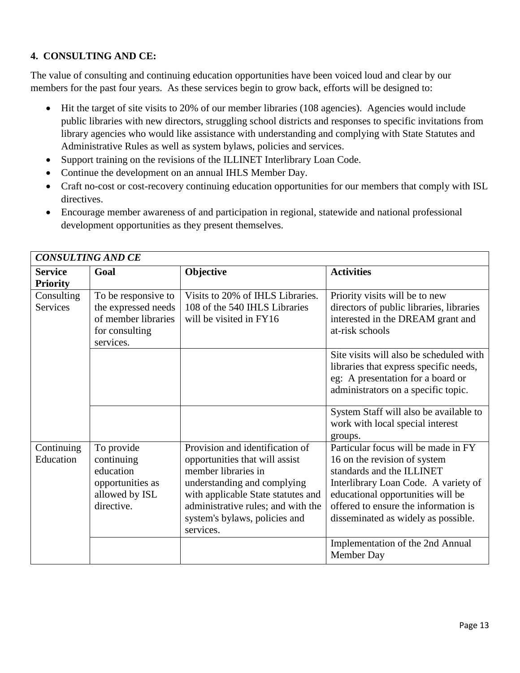## **4. CONSULTING AND CE:**

The value of consulting and continuing education opportunities have been voiced loud and clear by our members for the past four years. As these services begin to grow back, efforts will be designed to:

- Hit the target of site visits to 20% of our member libraries (108 agencies). Agencies would include public libraries with new directors, struggling school districts and responses to specific invitations from library agencies who would like assistance with understanding and complying with State Statutes and Administrative Rules as well as system bylaws, policies and services.
- Support training on the revisions of the ILLINET Interlibrary Loan Code.
- Continue the development on an annual IHLS Member Day.
- Craft no-cost or cost-recovery continuing education opportunities for our members that comply with ISL directives.
- Encourage member awareness of and participation in regional, statewide and national professional development opportunities as they present themselves.

| <b>CONSULTING AND CE</b>          |                                                                                                  |                                                                                                                                                                                                                                                   |                                                                                                                                                                                                                                                              |  |
|-----------------------------------|--------------------------------------------------------------------------------------------------|---------------------------------------------------------------------------------------------------------------------------------------------------------------------------------------------------------------------------------------------------|--------------------------------------------------------------------------------------------------------------------------------------------------------------------------------------------------------------------------------------------------------------|--|
| <b>Service</b><br><b>Priority</b> | Goal                                                                                             | Objective                                                                                                                                                                                                                                         | <b>Activities</b>                                                                                                                                                                                                                                            |  |
| Consulting<br>Services            | To be responsive to<br>the expressed needs<br>of member libraries<br>for consulting<br>services. | Visits to 20% of IHLS Libraries.<br>108 of the 540 IHLS Libraries<br>will be visited in FY16                                                                                                                                                      | Priority visits will be to new<br>directors of public libraries, libraries<br>interested in the DREAM grant and<br>at-risk schools                                                                                                                           |  |
|                                   |                                                                                                  |                                                                                                                                                                                                                                                   | Site visits will also be scheduled with<br>libraries that express specific needs,<br>eg: A presentation for a board or<br>administrators on a specific topic.                                                                                                |  |
|                                   |                                                                                                  |                                                                                                                                                                                                                                                   | System Staff will also be available to<br>work with local special interest<br>groups.                                                                                                                                                                        |  |
| Continuing<br>Education           | To provide<br>continuing<br>education<br>opportunities as<br>allowed by ISL<br>directive.        | Provision and identification of<br>opportunities that will assist<br>member libraries in<br>understanding and complying<br>with applicable State statutes and<br>administrative rules; and with the<br>system's bylaws, policies and<br>services. | Particular focus will be made in FY<br>16 on the revision of system<br>standards and the ILLINET<br>Interlibrary Loan Code. A variety of<br>educational opportunities will be<br>offered to ensure the information is<br>disseminated as widely as possible. |  |
|                                   |                                                                                                  |                                                                                                                                                                                                                                                   | Implementation of the 2nd Annual<br>Member Day                                                                                                                                                                                                               |  |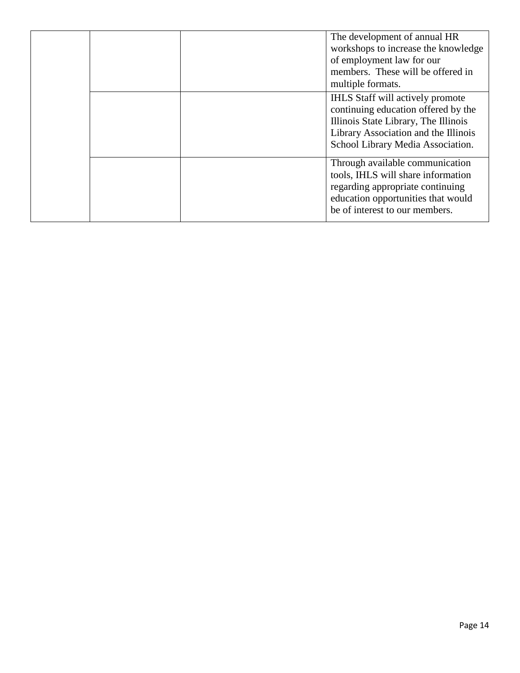|  |  | The development of annual HR<br>workshops to increase the knowledge<br>of employment law for our<br>members. These will be offered in<br>multiple formats.                                          |
|--|--|-----------------------------------------------------------------------------------------------------------------------------------------------------------------------------------------------------|
|  |  | <b>IHLS</b> Staff will actively promote<br>continuing education offered by the<br>Illinois State Library, The Illinois<br>Library Association and the Illinois<br>School Library Media Association. |
|  |  | Through available communication<br>tools, IHLS will share information<br>regarding appropriate continuing<br>education opportunities that would<br>be of interest to our members.                   |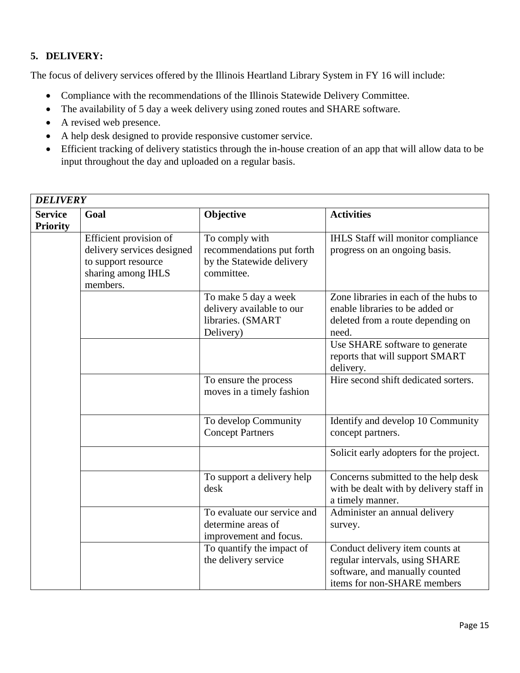# **5. DELIVERY:**

The focus of delivery services offered by the Illinois Heartland Library System in FY 16 will include:

- Compliance with the recommendations of the Illinois Statewide Delivery Committee.
- The availability of 5 day a week delivery using zoned routes and SHARE software.
- A revised web presence.
- A help desk designed to provide responsive customer service.
- Efficient tracking of delivery statistics through the in-house creation of an app that will allow data to be input throughout the day and uploaded on a regular basis.

| <b>DELIVERY</b>                   |                                                                                                               |                                                                                        |                                                                                                                                    |
|-----------------------------------|---------------------------------------------------------------------------------------------------------------|----------------------------------------------------------------------------------------|------------------------------------------------------------------------------------------------------------------------------------|
| <b>Service</b><br><b>Priority</b> | Goal                                                                                                          | Objective                                                                              | <b>Activities</b>                                                                                                                  |
|                                   | Efficient provision of<br>delivery services designed<br>to support resource<br>sharing among IHLS<br>members. | To comply with<br>recommendations put forth<br>by the Statewide delivery<br>committee. | IHLS Staff will monitor compliance<br>progress on an ongoing basis.                                                                |
|                                   |                                                                                                               | To make 5 day a week<br>delivery available to our<br>libraries. (SMART<br>Delivery)    | Zone libraries in each of the hubs to<br>enable libraries to be added or<br>deleted from a route depending on<br>need.             |
|                                   |                                                                                                               |                                                                                        | Use SHARE software to generate<br>reports that will support SMART<br>delivery.                                                     |
|                                   |                                                                                                               | To ensure the process<br>moves in a timely fashion                                     | Hire second shift dedicated sorters.                                                                                               |
|                                   |                                                                                                               | To develop Community<br><b>Concept Partners</b>                                        | Identify and develop 10 Community<br>concept partners.                                                                             |
|                                   |                                                                                                               |                                                                                        | Solicit early adopters for the project.                                                                                            |
|                                   |                                                                                                               | To support a delivery help<br>desk                                                     | Concerns submitted to the help desk<br>with be dealt with by delivery staff in<br>a timely manner.                                 |
|                                   |                                                                                                               | To evaluate our service and<br>determine areas of<br>improvement and focus.            | Administer an annual delivery<br>survey.                                                                                           |
|                                   |                                                                                                               | To quantify the impact of<br>the delivery service                                      | Conduct delivery item counts at<br>regular intervals, using SHARE<br>software, and manually counted<br>items for non-SHARE members |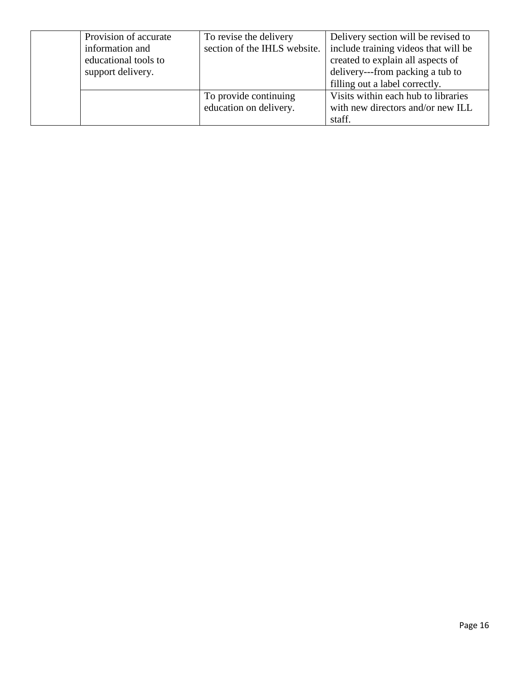| Provision of accurate | To revise the delivery       | Delivery section will be revised to  |
|-----------------------|------------------------------|--------------------------------------|
| information and       | section of the IHLS website. | include training videos that will be |
| educational tools to  |                              | created to explain all aspects of    |
| support delivery.     |                              | delivery---from packing a tub to     |
|                       |                              | filling out a label correctly.       |
|                       | To provide continuing        | Visits within each hub to libraries  |
|                       | education on delivery.       | with new directors and/or new ILL    |
|                       |                              | staff.                               |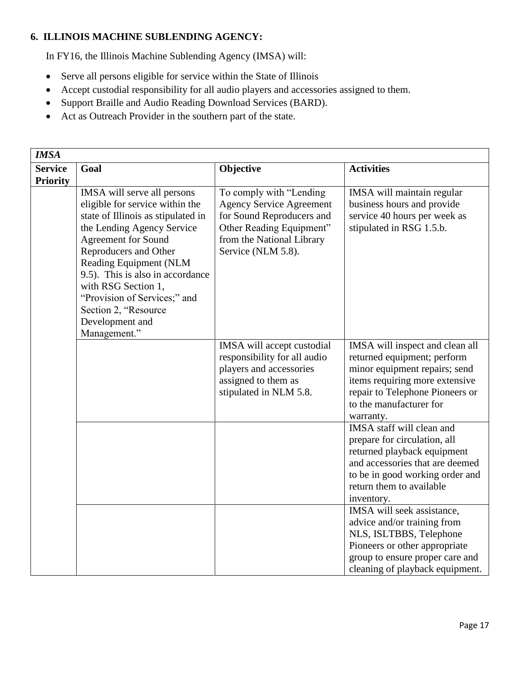#### **6. ILLINOIS MACHINE SUBLENDING AGENCY:**

In FY16, the Illinois Machine Sublending Agency (IMSA) will:

- Serve all persons eligible for service within the State of Illinois
- Accept custodial responsibility for all audio players and accessories assigned to them.
- Support Braille and Audio Reading Download Services (BARD).
- Act as Outreach Provider in the southern part of the state.

| <b>IMSA</b>                       |                                                                                                                                                                                                                                                                                                                                                                           |                                                                                                                                                                        |                                                                                                                                                                                                              |
|-----------------------------------|---------------------------------------------------------------------------------------------------------------------------------------------------------------------------------------------------------------------------------------------------------------------------------------------------------------------------------------------------------------------------|------------------------------------------------------------------------------------------------------------------------------------------------------------------------|--------------------------------------------------------------------------------------------------------------------------------------------------------------------------------------------------------------|
| <b>Service</b><br><b>Priority</b> | Goal                                                                                                                                                                                                                                                                                                                                                                      | Objective                                                                                                                                                              | <b>Activities</b>                                                                                                                                                                                            |
|                                   | IMSA will serve all persons<br>eligible for service within the<br>state of Illinois as stipulated in<br>the Lending Agency Service<br><b>Agreement for Sound</b><br>Reproducers and Other<br>Reading Equipment (NLM<br>9.5). This is also in accordance<br>with RSG Section 1,<br>"Provision of Services;" and<br>Section 2, "Resource<br>Development and<br>Management." | To comply with "Lending<br><b>Agency Service Agreement</b><br>for Sound Reproducers and<br>Other Reading Equipment"<br>from the National Library<br>Service (NLM 5.8). | IMSA will maintain regular<br>business hours and provide<br>service 40 hours per week as<br>stipulated in RSG 1.5.b.                                                                                         |
|                                   |                                                                                                                                                                                                                                                                                                                                                                           | IMSA will accept custodial<br>responsibility for all audio<br>players and accessories<br>assigned to them as<br>stipulated in NLM 5.8.                                 | IMSA will inspect and clean all<br>returned equipment; perform<br>minor equipment repairs; send<br>items requiring more extensive<br>repair to Telephone Pioneers or<br>to the manufacturer for<br>warranty. |
|                                   |                                                                                                                                                                                                                                                                                                                                                                           |                                                                                                                                                                        | IMSA staff will clean and<br>prepare for circulation, all<br>returned playback equipment<br>and accessories that are deemed<br>to be in good working order and<br>return them to available<br>inventory.     |
|                                   |                                                                                                                                                                                                                                                                                                                                                                           |                                                                                                                                                                        | IMSA will seek assistance,<br>advice and/or training from<br>NLS, ISLTBBS, Telephone<br>Pioneers or other appropriate<br>group to ensure proper care and<br>cleaning of playback equipment.                  |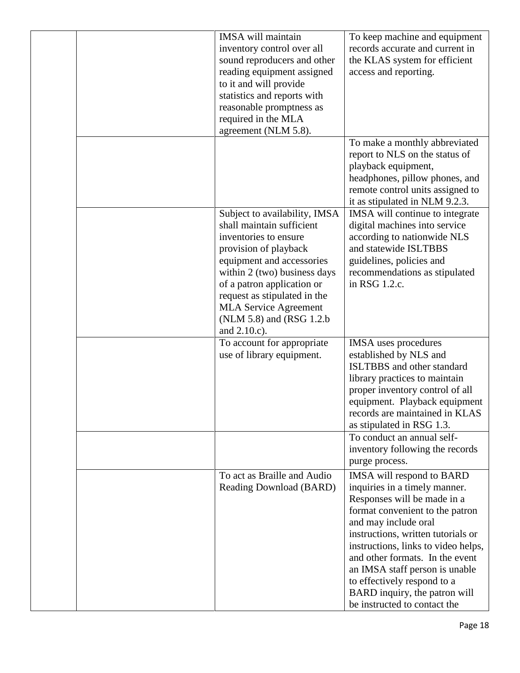|  | <b>IMSA</b> will maintain<br>inventory control over all<br>sound reproducers and other<br>reading equipment assigned<br>to it and will provide<br>statistics and reports with<br>reasonable promptness as<br>required in the MLA<br>agreement (NLM 5.8).                                                             | To keep machine and equipment<br>records accurate and current in<br>the KLAS system for efficient<br>access and reporting.                                                                                                                                                                                                                                                                             |
|--|----------------------------------------------------------------------------------------------------------------------------------------------------------------------------------------------------------------------------------------------------------------------------------------------------------------------|--------------------------------------------------------------------------------------------------------------------------------------------------------------------------------------------------------------------------------------------------------------------------------------------------------------------------------------------------------------------------------------------------------|
|  |                                                                                                                                                                                                                                                                                                                      | To make a monthly abbreviated<br>report to NLS on the status of<br>playback equipment,<br>headphones, pillow phones, and<br>remote control units assigned to<br>it as stipulated in NLM 9.2.3.                                                                                                                                                                                                         |
|  | Subject to availability, IMSA<br>shall maintain sufficient<br>inventories to ensure<br>provision of playback<br>equipment and accessories<br>within 2 (two) business days<br>of a patron application or<br>request as stipulated in the<br><b>MLA Service Agreement</b><br>(NLM 5.8) and (RSG 1.2.b)<br>and 2.10.c). | IMSA will continue to integrate<br>digital machines into service<br>according to nationwide NLS<br>and statewide ISLTBBS<br>guidelines, policies and<br>recommendations as stipulated<br>in RSG 1.2.c.                                                                                                                                                                                                 |
|  | To account for appropriate<br>use of library equipment.                                                                                                                                                                                                                                                              | <b>IMSA</b> uses procedures<br>established by NLS and<br><b>ISLTBBS</b> and other standard<br>library practices to maintain<br>proper inventory control of all<br>equipment. Playback equipment<br>records are maintained in KLAS<br>as stipulated in RSG 1.3.                                                                                                                                         |
|  |                                                                                                                                                                                                                                                                                                                      | To conduct an annual self-<br>inventory following the records<br>purge process.                                                                                                                                                                                                                                                                                                                        |
|  | To act as Braille and Audio<br>Reading Download (BARD)                                                                                                                                                                                                                                                               | IMSA will respond to BARD<br>inquiries in a timely manner.<br>Responses will be made in a<br>format convenient to the patron<br>and may include oral<br>instructions, written tutorials or<br>instructions, links to video helps,<br>and other formats. In the event<br>an IMSA staff person is unable<br>to effectively respond to a<br>BARD inquiry, the patron will<br>be instructed to contact the |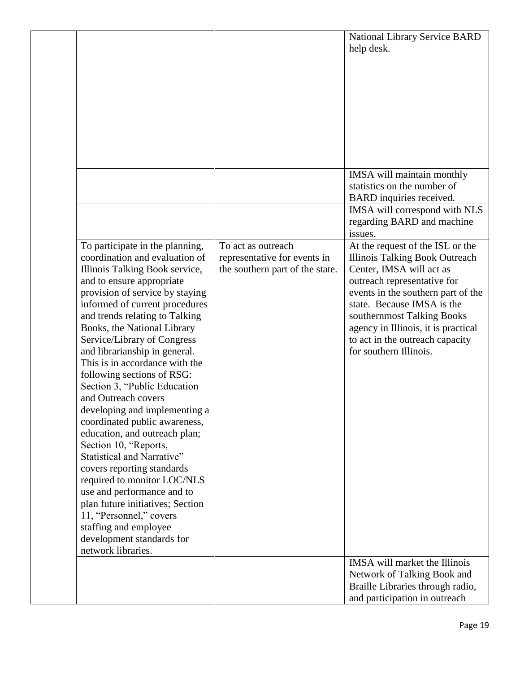| help desk.<br>IMSA will maintain monthly<br>statistics on the number of<br>BARD inquiries received.<br>IMSA will correspond with NLS<br>regarding BARD and machine<br>issues.<br>To participate in the planning,<br>At the request of the ISL or the<br>To act as outreach<br>coordination and evaluation of<br><b>Illinois Talking Book Outreach</b><br>representative for events in<br>Center, IMSA will act as<br>Illinois Talking Book service,<br>the southern part of the state.<br>and to ensure appropriate<br>outreach representative for |  |
|----------------------------------------------------------------------------------------------------------------------------------------------------------------------------------------------------------------------------------------------------------------------------------------------------------------------------------------------------------------------------------------------------------------------------------------------------------------------------------------------------------------------------------------------------|--|
|                                                                                                                                                                                                                                                                                                                                                                                                                                                                                                                                                    |  |
|                                                                                                                                                                                                                                                                                                                                                                                                                                                                                                                                                    |  |
|                                                                                                                                                                                                                                                                                                                                                                                                                                                                                                                                                    |  |
|                                                                                                                                                                                                                                                                                                                                                                                                                                                                                                                                                    |  |
|                                                                                                                                                                                                                                                                                                                                                                                                                                                                                                                                                    |  |
|                                                                                                                                                                                                                                                                                                                                                                                                                                                                                                                                                    |  |
|                                                                                                                                                                                                                                                                                                                                                                                                                                                                                                                                                    |  |
|                                                                                                                                                                                                                                                                                                                                                                                                                                                                                                                                                    |  |
|                                                                                                                                                                                                                                                                                                                                                                                                                                                                                                                                                    |  |
|                                                                                                                                                                                                                                                                                                                                                                                                                                                                                                                                                    |  |
|                                                                                                                                                                                                                                                                                                                                                                                                                                                                                                                                                    |  |
|                                                                                                                                                                                                                                                                                                                                                                                                                                                                                                                                                    |  |
|                                                                                                                                                                                                                                                                                                                                                                                                                                                                                                                                                    |  |
|                                                                                                                                                                                                                                                                                                                                                                                                                                                                                                                                                    |  |
|                                                                                                                                                                                                                                                                                                                                                                                                                                                                                                                                                    |  |
|                                                                                                                                                                                                                                                                                                                                                                                                                                                                                                                                                    |  |
|                                                                                                                                                                                                                                                                                                                                                                                                                                                                                                                                                    |  |
| provision of service by staying<br>events in the southern part of the                                                                                                                                                                                                                                                                                                                                                                                                                                                                              |  |
| informed of current procedures<br>state. Because IMSA is the<br>and trends relating to Talking<br>southernmost Talking Books                                                                                                                                                                                                                                                                                                                                                                                                                       |  |
| Books, the National Library<br>agency in Illinois, it is practical                                                                                                                                                                                                                                                                                                                                                                                                                                                                                 |  |
| Service/Library of Congress<br>to act in the outreach capacity                                                                                                                                                                                                                                                                                                                                                                                                                                                                                     |  |
| for southern Illinois.<br>and librarianship in general.                                                                                                                                                                                                                                                                                                                                                                                                                                                                                            |  |
| This is in accordance with the                                                                                                                                                                                                                                                                                                                                                                                                                                                                                                                     |  |
| following sections of RSG:                                                                                                                                                                                                                                                                                                                                                                                                                                                                                                                         |  |
| Section 3, "Public Education                                                                                                                                                                                                                                                                                                                                                                                                                                                                                                                       |  |
| and Outreach covers<br>developing and implementing a                                                                                                                                                                                                                                                                                                                                                                                                                                                                                               |  |
| coordinated public awareness,                                                                                                                                                                                                                                                                                                                                                                                                                                                                                                                      |  |
| education, and outreach plan;                                                                                                                                                                                                                                                                                                                                                                                                                                                                                                                      |  |
| Section 10, "Reports,                                                                                                                                                                                                                                                                                                                                                                                                                                                                                                                              |  |
| Statistical and Narrative"                                                                                                                                                                                                                                                                                                                                                                                                                                                                                                                         |  |
| covers reporting standards                                                                                                                                                                                                                                                                                                                                                                                                                                                                                                                         |  |
| required to monitor LOC/NLS                                                                                                                                                                                                                                                                                                                                                                                                                                                                                                                        |  |
| use and performance and to<br>plan future initiatives; Section                                                                                                                                                                                                                                                                                                                                                                                                                                                                                     |  |
| 11, "Personnel," covers                                                                                                                                                                                                                                                                                                                                                                                                                                                                                                                            |  |
| staffing and employee                                                                                                                                                                                                                                                                                                                                                                                                                                                                                                                              |  |
| development standards for                                                                                                                                                                                                                                                                                                                                                                                                                                                                                                                          |  |
| network libraries.                                                                                                                                                                                                                                                                                                                                                                                                                                                                                                                                 |  |
| IMSA will market the Illinois                                                                                                                                                                                                                                                                                                                                                                                                                                                                                                                      |  |
| Network of Talking Book and<br>Braille Libraries through radio,                                                                                                                                                                                                                                                                                                                                                                                                                                                                                    |  |
| and participation in outreach                                                                                                                                                                                                                                                                                                                                                                                                                                                                                                                      |  |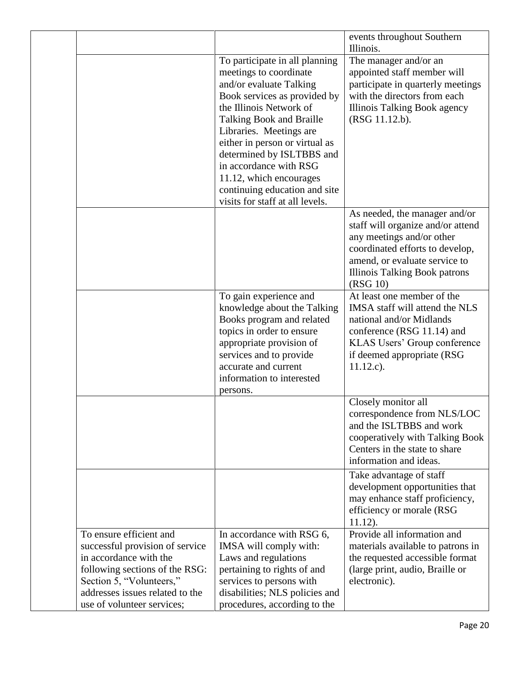|                                                                                                                                                                                                                     |                                                                                                                                                                                                                                                                                                                                                                                               | events throughout Southern<br>Illinois.                                                                                                                                                                                 |
|---------------------------------------------------------------------------------------------------------------------------------------------------------------------------------------------------------------------|-----------------------------------------------------------------------------------------------------------------------------------------------------------------------------------------------------------------------------------------------------------------------------------------------------------------------------------------------------------------------------------------------|-------------------------------------------------------------------------------------------------------------------------------------------------------------------------------------------------------------------------|
|                                                                                                                                                                                                                     | To participate in all planning<br>meetings to coordinate<br>and/or evaluate Talking<br>Book services as provided by<br>the Illinois Network of<br>Talking Book and Braille<br>Libraries. Meetings are<br>either in person or virtual as<br>determined by ISLTBBS and<br>in accordance with RSG<br>11.12, which encourages<br>continuing education and site<br>visits for staff at all levels. | The manager and/or an<br>appointed staff member will<br>participate in quarterly meetings<br>with the directors from each<br>Illinois Talking Book agency<br>(RSG 11.12.b).                                             |
|                                                                                                                                                                                                                     |                                                                                                                                                                                                                                                                                                                                                                                               | As needed, the manager and/or<br>staff will organize and/or attend<br>any meetings and/or other<br>coordinated efforts to develop,<br>amend, or evaluate service to<br><b>Illinois Talking Book patrons</b><br>(RSG 10) |
|                                                                                                                                                                                                                     | To gain experience and<br>knowledge about the Talking<br>Books program and related<br>topics in order to ensure<br>appropriate provision of<br>services and to provide<br>accurate and current<br>information to interested<br>persons.                                                                                                                                                       | At least one member of the<br>IMSA staff will attend the NLS<br>national and/or Midlands<br>conference (RSG 11.14) and<br>KLAS Users' Group conference<br>if deemed appropriate (RSG<br>$11.12.c$ ).                    |
|                                                                                                                                                                                                                     |                                                                                                                                                                                                                                                                                                                                                                                               | Closely monitor all<br>correspondence from NLS/LOC<br>and the ISLTBBS and work<br>cooperatively with Talking Book<br>Centers in the state to share<br>information and ideas.                                            |
|                                                                                                                                                                                                                     |                                                                                                                                                                                                                                                                                                                                                                                               | Take advantage of staff<br>development opportunities that<br>may enhance staff proficiency,<br>efficiency or morale (RSG<br>$11.12$ ).                                                                                  |
| To ensure efficient and<br>successful provision of service<br>in accordance with the<br>following sections of the RSG:<br>Section 5, "Volunteers,"<br>addresses issues related to the<br>use of volunteer services; | In accordance with RSG 6,<br>IMSA will comply with:<br>Laws and regulations<br>pertaining to rights of and<br>services to persons with<br>disabilities; NLS policies and<br>procedures, according to the                                                                                                                                                                                      | Provide all information and<br>materials available to patrons in<br>the requested accessible format<br>(large print, audio, Braille or<br>electronic).                                                                  |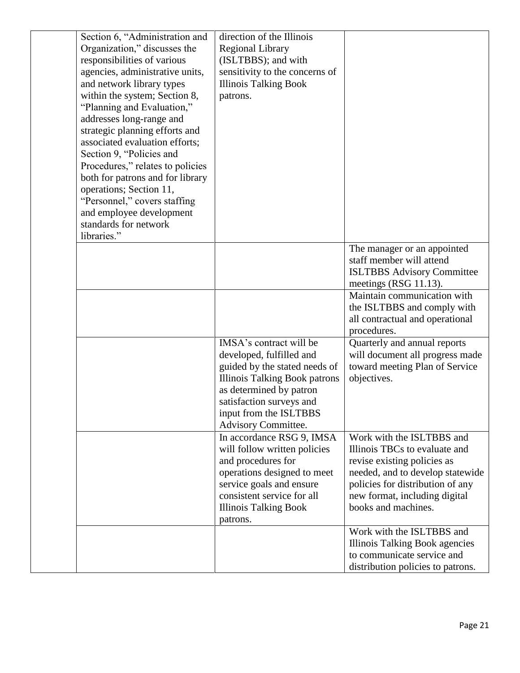| Section 6, "Administration and<br>Organization," discusses the<br>responsibilities of various<br>agencies, administrative units,<br>and network library types<br>within the system; Section 8,<br>"Planning and Evaluation,"<br>addresses long-range and<br>strategic planning efforts and<br>associated evaluation efforts;<br>Section 9, "Policies and<br>Procedures," relates to policies<br>both for patrons and for library<br>operations; Section 11,<br>"Personnel," covers staffing<br>and employee development<br>standards for network<br>libraries." | direction of the Illinois<br><b>Regional Library</b><br>(ISLTBBS); and with<br>sensitivity to the concerns of<br><b>Illinois Talking Book</b><br>patrons.                                                                            |                                                                                                                                                                                                                           |
|-----------------------------------------------------------------------------------------------------------------------------------------------------------------------------------------------------------------------------------------------------------------------------------------------------------------------------------------------------------------------------------------------------------------------------------------------------------------------------------------------------------------------------------------------------------------|--------------------------------------------------------------------------------------------------------------------------------------------------------------------------------------------------------------------------------------|---------------------------------------------------------------------------------------------------------------------------------------------------------------------------------------------------------------------------|
|                                                                                                                                                                                                                                                                                                                                                                                                                                                                                                                                                                 |                                                                                                                                                                                                                                      | The manager or an appointed<br>staff member will attend<br><b>ISLTBBS Advisory Committee</b><br>meetings (RSG 11.13).                                                                                                     |
|                                                                                                                                                                                                                                                                                                                                                                                                                                                                                                                                                                 |                                                                                                                                                                                                                                      | Maintain communication with<br>the ISLTBBS and comply with<br>all contractual and operational<br>procedures.                                                                                                              |
|                                                                                                                                                                                                                                                                                                                                                                                                                                                                                                                                                                 | IMSA's contract will be<br>developed, fulfilled and<br>guided by the stated needs of<br><b>Illinois Talking Book patrons</b><br>as determined by patron<br>satisfaction surveys and<br>input from the ISLTBBS<br>Advisory Committee. | Quarterly and annual reports<br>will document all progress made<br>toward meeting Plan of Service<br>objectives.                                                                                                          |
|                                                                                                                                                                                                                                                                                                                                                                                                                                                                                                                                                                 | In accordance RSG 9, IMSA<br>will follow written policies<br>and procedures for<br>operations designed to meet<br>service goals and ensure<br>consistent service for all<br><b>Illinois Talking Book</b><br>patrons.                 | Work with the ISLTBBS and<br>Illinois TBCs to evaluate and<br>revise existing policies as<br>needed, and to develop statewide<br>policies for distribution of any<br>new format, including digital<br>books and machines. |
|                                                                                                                                                                                                                                                                                                                                                                                                                                                                                                                                                                 |                                                                                                                                                                                                                                      | Work with the ISLTBBS and<br>Illinois Talking Book agencies<br>to communicate service and<br>distribution policies to patrons.                                                                                            |